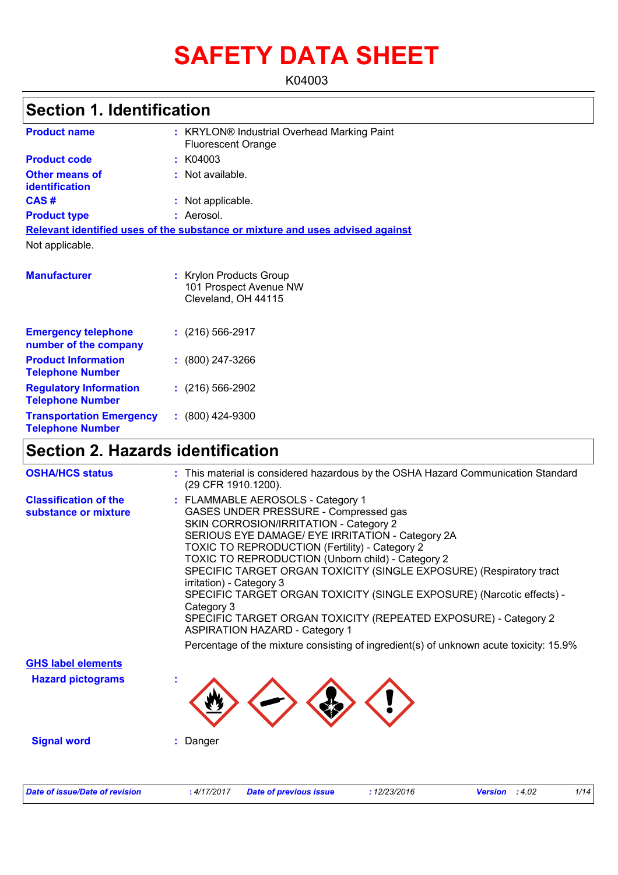# **SAFETY DATA SHEET**

K04003

# **Section 1. Identification**

| <b>Product name</b>                                        | : KRYLON® Industrial Overhead Marking Paint<br><b>Fluorescent Orange</b>      |
|------------------------------------------------------------|-------------------------------------------------------------------------------|
| <b>Product code</b>                                        | : K04003                                                                      |
| <b>Other means of</b><br>identification                    | $:$ Not available.                                                            |
| CAS#                                                       | : Not applicable.                                                             |
| <b>Product type</b>                                        | : Aerosol.                                                                    |
|                                                            | Relevant identified uses of the substance or mixture and uses advised against |
| Not applicable.                                            |                                                                               |
|                                                            |                                                                               |
| <b>Manufacturer</b>                                        | : Krylon Products Group<br>101 Prospect Avenue NW<br>Cleveland, OH 44115      |
| <b>Emergency telephone</b><br>number of the company        | $: (216) 566 - 2917$                                                          |
| <b>Product Information</b><br><b>Telephone Number</b>      | $: (800)$ 247-3266                                                            |
| <b>Regulatory Information</b><br><b>Telephone Number</b>   | $: (216) 566 - 2902$                                                          |
| <b>Transportation Emergency</b><br><b>Telephone Number</b> | $: (800)$ 424-9300                                                            |

# **Section 2. Hazards identification**

| <b>OSHA/HCS status</b>                               | : This material is considered hazardous by the OSHA Hazard Communication Standard<br>(29 CFR 1910.1200).                                                                                                                                                                                                                                                                                                                                                                                                                                                                                                                                                                        |
|------------------------------------------------------|---------------------------------------------------------------------------------------------------------------------------------------------------------------------------------------------------------------------------------------------------------------------------------------------------------------------------------------------------------------------------------------------------------------------------------------------------------------------------------------------------------------------------------------------------------------------------------------------------------------------------------------------------------------------------------|
| <b>Classification of the</b><br>substance or mixture | : FLAMMABLE AEROSOLS - Category 1<br>GASES UNDER PRESSURE - Compressed gas<br>SKIN CORROSION/IRRITATION - Category 2<br>SERIOUS EYE DAMAGE/ EYE IRRITATION - Category 2A<br>TOXIC TO REPRODUCTION (Fertility) - Category 2<br>TOXIC TO REPRODUCTION (Unborn child) - Category 2<br>SPECIFIC TARGET ORGAN TOXICITY (SINGLE EXPOSURE) (Respiratory tract<br>irritation) - Category 3<br>SPECIFIC TARGET ORGAN TOXICITY (SINGLE EXPOSURE) (Narcotic effects) -<br>Category 3<br>SPECIFIC TARGET ORGAN TOXICITY (REPEATED EXPOSURE) - Category 2<br><b>ASPIRATION HAZARD - Category 1</b><br>Percentage of the mixture consisting of ingredient(s) of unknown acute toxicity: 15.9% |
| <b>GHS label elements</b>                            |                                                                                                                                                                                                                                                                                                                                                                                                                                                                                                                                                                                                                                                                                 |
| <b>Hazard pictograms</b>                             |                                                                                                                                                                                                                                                                                                                                                                                                                                                                                                                                                                                                                                                                                 |
| <b>Signal word</b>                                   | : Danger                                                                                                                                                                                                                                                                                                                                                                                                                                                                                                                                                                                                                                                                        |
| <b>Date of issue/Date of revision</b>                | 1/14<br>: 4/17/2017<br><b>Date of previous issue</b><br>: 12/23/2016<br><b>Version</b> : 4.02                                                                                                                                                                                                                                                                                                                                                                                                                                                                                                                                                                                   |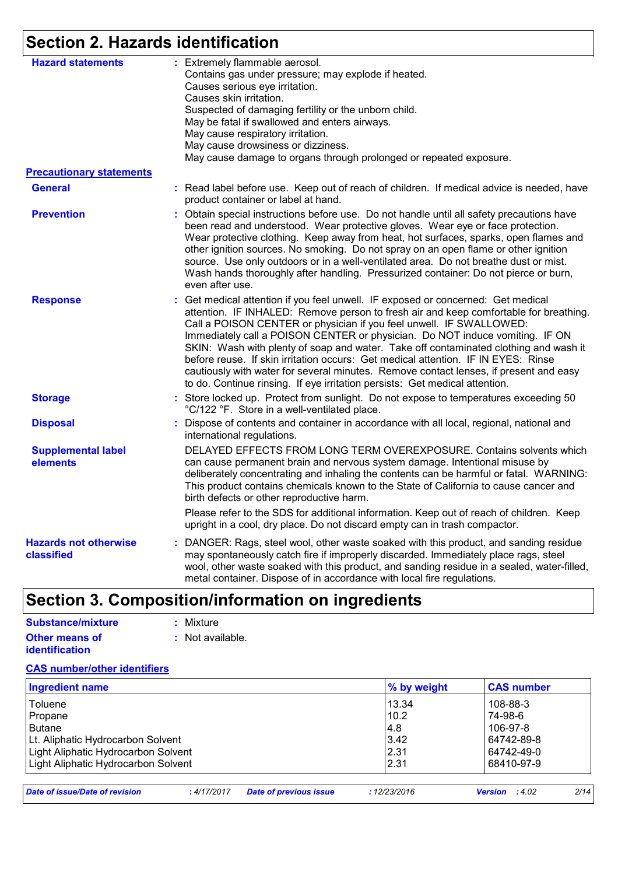# **Section 2. Hazards identification**

| <b>Hazard statements</b>                   | : Extremely flammable aerosol.<br>Contains gas under pressure; may explode if heated.<br>Causes serious eye irritation.<br>Causes skin irritation.<br>Suspected of damaging fertility or the unborn child.<br>May be fatal if swallowed and enters airways.                                                                                                                                                                                                                                                                                                                                                                                                                         |
|--------------------------------------------|-------------------------------------------------------------------------------------------------------------------------------------------------------------------------------------------------------------------------------------------------------------------------------------------------------------------------------------------------------------------------------------------------------------------------------------------------------------------------------------------------------------------------------------------------------------------------------------------------------------------------------------------------------------------------------------|
|                                            | May cause respiratory irritation.<br>May cause drowsiness or dizziness.<br>May cause damage to organs through prolonged or repeated exposure.                                                                                                                                                                                                                                                                                                                                                                                                                                                                                                                                       |
| <b>Precautionary statements</b>            |                                                                                                                                                                                                                                                                                                                                                                                                                                                                                                                                                                                                                                                                                     |
| <b>General</b>                             | : Read label before use. Keep out of reach of children. If medical advice is needed, have<br>product container or label at hand.                                                                                                                                                                                                                                                                                                                                                                                                                                                                                                                                                    |
| <b>Prevention</b>                          | Obtain special instructions before use. Do not handle until all safety precautions have<br>been read and understood. Wear protective gloves. Wear eye or face protection.<br>Wear protective clothing. Keep away from heat, hot surfaces, sparks, open flames and<br>other ignition sources. No smoking. Do not spray on an open flame or other ignition<br>source. Use only outdoors or in a well-ventilated area. Do not breathe dust or mist.<br>Wash hands thoroughly after handling. Pressurized container: Do not pierce or burn,<br>even after use.                                                                                                                          |
| <b>Response</b>                            | Get medical attention if you feel unwell. IF exposed or concerned: Get medical<br>attention. IF INHALED: Remove person to fresh air and keep comfortable for breathing.<br>Call a POISON CENTER or physician if you feel unwell. IF SWALLOWED:<br>Immediately call a POISON CENTER or physician. Do NOT induce vomiting. IF ON<br>SKIN: Wash with plenty of soap and water. Take off contaminated clothing and wash it<br>before reuse. If skin irritation occurs: Get medical attention. IF IN EYES: Rinse<br>cautiously with water for several minutes. Remove contact lenses, if present and easy<br>to do. Continue rinsing. If eye irritation persists: Get medical attention. |
| <b>Storage</b>                             | : Store locked up. Protect from sunlight. Do not expose to temperatures exceeding 50<br>°C/122 °F. Store in a well-ventilated place.                                                                                                                                                                                                                                                                                                                                                                                                                                                                                                                                                |
| <b>Disposal</b>                            | : Dispose of contents and container in accordance with all local, regional, national and<br>international regulations.                                                                                                                                                                                                                                                                                                                                                                                                                                                                                                                                                              |
| <b>Supplemental label</b><br>elements      | DELAYED EFFECTS FROM LONG TERM OVEREXPOSURE. Contains solvents which<br>can cause permanent brain and nervous system damage. Intentional misuse by<br>deliberately concentrating and inhaling the contents can be harmful or fatal. WARNING:<br>This product contains chemicals known to the State of California to cause cancer and<br>birth defects or other reproductive harm.                                                                                                                                                                                                                                                                                                   |
|                                            | Please refer to the SDS for additional information. Keep out of reach of children. Keep<br>upright in a cool, dry place. Do not discard empty can in trash compactor.                                                                                                                                                                                                                                                                                                                                                                                                                                                                                                               |
| <b>Hazards not otherwise</b><br>classified | : DANGER: Rags, steel wool, other waste soaked with this product, and sanding residue<br>may spontaneously catch fire if improperly discarded. Immediately place rags, steel<br>wool, other waste soaked with this product, and sanding residue in a sealed, water-filled,<br>metal container. Dispose of in accordance with local fire regulations.                                                                                                                                                                                                                                                                                                                                |

# **Section 3. Composition/information on ingredients**

| Substance/mixture     | : Mixture        |
|-----------------------|------------------|
| <b>Other means of</b> | : Not available. |
| <i>identification</i> |                  |

#### **CAS number/other identifiers**

| <b>Ingredient name</b>              | ∣% by weight | <b>CAS number</b> |
|-------------------------------------|--------------|-------------------|
| Toluene                             | 13.34        | 108-88-3          |
| Propane                             | 10.2         | 74-98-6           |
| Butane                              | l4.8         | 106-97-8          |
| Lt. Aliphatic Hydrocarbon Solvent   | 3.42         | 64742-89-8        |
| Light Aliphatic Hydrocarbon Solvent | 2.31         | 64742-49-0        |
| Light Aliphatic Hydrocarbon Solvent | 2.31         | l 68410-97-9      |

| Date of issue/Date of revision |  | : 4/17/2017 Date of previous issue | 12/23/2016 | <b>Version</b> : $4.02$ | 2/14 |
|--------------------------------|--|------------------------------------|------------|-------------------------|------|
|--------------------------------|--|------------------------------------|------------|-------------------------|------|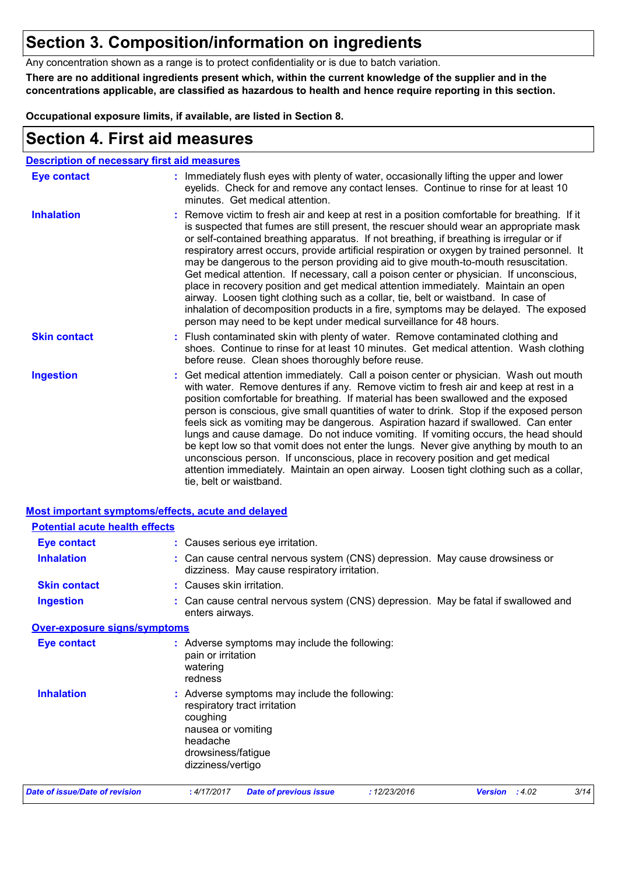# **Section 3. Composition/information on ingredients**

Any concentration shown as a range is to protect confidentiality or is due to batch variation.

**There are no additional ingredients present which, within the current knowledge of the supplier and in the concentrations applicable, are classified as hazardous to health and hence require reporting in this section.**

**Occupational exposure limits, if available, are listed in Section 8.**

### **Section 4. First aid measures**

| <b>Description of necessary first aid measures</b> |                                                                                                                                                                                                                                                                                                                                                                                                                                                                                                                                                                                                                                                                                                                                                                                                                                                                                                                |
|----------------------------------------------------|----------------------------------------------------------------------------------------------------------------------------------------------------------------------------------------------------------------------------------------------------------------------------------------------------------------------------------------------------------------------------------------------------------------------------------------------------------------------------------------------------------------------------------------------------------------------------------------------------------------------------------------------------------------------------------------------------------------------------------------------------------------------------------------------------------------------------------------------------------------------------------------------------------------|
| <b>Eye contact</b>                                 | : Immediately flush eyes with plenty of water, occasionally lifting the upper and lower<br>eyelids. Check for and remove any contact lenses. Continue to rinse for at least 10<br>minutes. Get medical attention.                                                                                                                                                                                                                                                                                                                                                                                                                                                                                                                                                                                                                                                                                              |
| <b>Inhalation</b>                                  | : Remove victim to fresh air and keep at rest in a position comfortable for breathing. If it<br>is suspected that fumes are still present, the rescuer should wear an appropriate mask<br>or self-contained breathing apparatus. If not breathing, if breathing is irregular or if<br>respiratory arrest occurs, provide artificial respiration or oxygen by trained personnel. It<br>may be dangerous to the person providing aid to give mouth-to-mouth resuscitation.<br>Get medical attention. If necessary, call a poison center or physician. If unconscious,<br>place in recovery position and get medical attention immediately. Maintain an open<br>airway. Loosen tight clothing such as a collar, tie, belt or waistband. In case of<br>inhalation of decomposition products in a fire, symptoms may be delayed. The exposed<br>person may need to be kept under medical surveillance for 48 hours. |
| <b>Skin contact</b>                                | : Flush contaminated skin with plenty of water. Remove contaminated clothing and<br>shoes. Continue to rinse for at least 10 minutes. Get medical attention. Wash clothing<br>before reuse. Clean shoes thoroughly before reuse.                                                                                                                                                                                                                                                                                                                                                                                                                                                                                                                                                                                                                                                                               |
| <b>Ingestion</b>                                   | : Get medical attention immediately. Call a poison center or physician. Wash out mouth<br>with water. Remove dentures if any. Remove victim to fresh air and keep at rest in a<br>position comfortable for breathing. If material has been swallowed and the exposed<br>person is conscious, give small quantities of water to drink. Stop if the exposed person<br>feels sick as vomiting may be dangerous. Aspiration hazard if swallowed. Can enter<br>lungs and cause damage. Do not induce vomiting. If vomiting occurs, the head should<br>be kept low so that vomit does not enter the lungs. Never give anything by mouth to an<br>unconscious person. If unconscious, place in recovery position and get medical<br>attention immediately. Maintain an open airway. Loosen tight clothing such as a collar,<br>tie, belt or waistband.                                                                |

|                                       | <b>Most important symptoms/effects, acute and delayed</b>                                                                                                              |
|---------------------------------------|------------------------------------------------------------------------------------------------------------------------------------------------------------------------|
| <b>Potential acute health effects</b> |                                                                                                                                                                        |
| <b>Eye contact</b>                    | : Causes serious eye irritation.                                                                                                                                       |
| <b>Inhalation</b>                     | : Can cause central nervous system (CNS) depression. May cause drowsiness or<br>dizziness. May cause respiratory irritation.                                           |
| <b>Skin contact</b>                   | : Causes skin irritation.                                                                                                                                              |
| <b>Ingestion</b>                      | : Can cause central nervous system (CNS) depression. May be fatal if swallowed and<br>enters airways.                                                                  |
| Over-exposure signs/symptoms          |                                                                                                                                                                        |
| <b>Eye contact</b>                    | : Adverse symptoms may include the following:<br>pain or irritation<br>watering<br>redness                                                                             |
| <b>Inhalation</b>                     | : Adverse symptoms may include the following:<br>respiratory tract irritation<br>coughing<br>nausea or vomiting<br>headache<br>drowsiness/fatigue<br>dizziness/vertigo |
| <b>Date of issue/Date of revision</b> | 3/14<br>: 12/23/2016<br>:4/17/2017<br><b>Date of previous issue</b><br><b>Version</b> : 4.02                                                                           |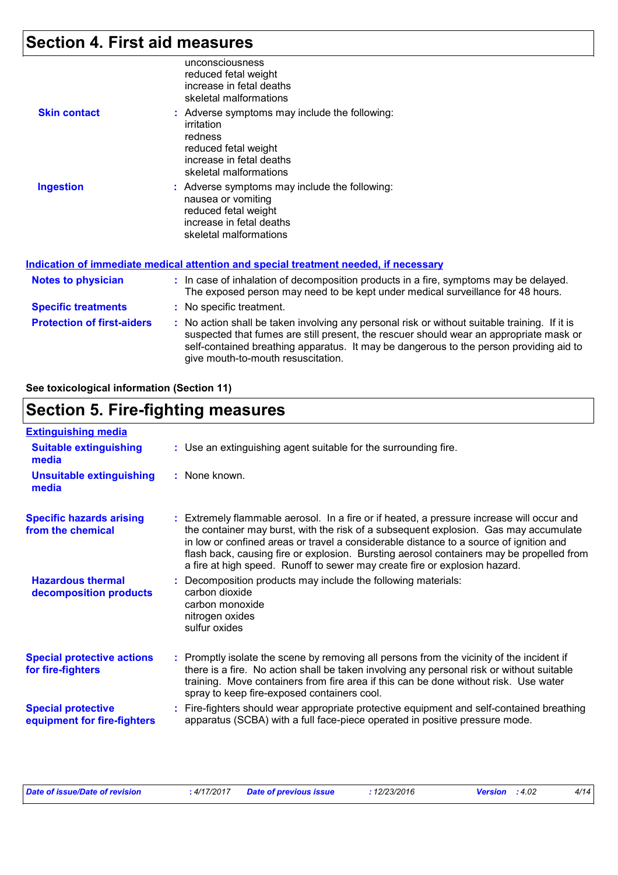# **Section 4. First aid measures**

|                     | unconsciousness<br>reduced fetal weight<br>increase in fetal deaths<br>skeletal malformations                                                        |
|---------------------|------------------------------------------------------------------------------------------------------------------------------------------------------|
| <b>Skin contact</b> | : Adverse symptoms may include the following:<br>irritation<br>redness<br>reduced fetal weight<br>increase in fetal deaths<br>skeletal malformations |
| <b>Ingestion</b>    | : Adverse symptoms may include the following:<br>nausea or vomiting<br>reduced fetal weight<br>increase in fetal deaths<br>skeletal malformations    |
|                     | <u>Indication of immediate medical attention and special treatment needed, if necessary</u>                                                          |
| Notes to physician  | $\therefore$ In case of inhalation of decomposition products in a fire, symptom                                                                      |

| <b>Notes to physician</b>         | : In case of inhalation of decomposition products in a fire, symptoms may be delayed.<br>The exposed person may need to be kept under medical surveillance for 48 hours.                                                                                                                                                |
|-----------------------------------|-------------------------------------------------------------------------------------------------------------------------------------------------------------------------------------------------------------------------------------------------------------------------------------------------------------------------|
| <b>Specific treatments</b>        | : No specific treatment.                                                                                                                                                                                                                                                                                                |
| <b>Protection of first-aiders</b> | : No action shall be taken involving any personal risk or without suitable training. If it is<br>suspected that fumes are still present, the rescuer should wear an appropriate mask or<br>self-contained breathing apparatus. It may be dangerous to the person providing aid to<br>give mouth-to-mouth resuscitation. |

**See toxicological information (Section 11)**

# **Section 5. Fire-fighting measures**

| <b>Extinguishing media</b>                               |                                                                                                                                                                                                                                                                                                                                                                                                                                                       |
|----------------------------------------------------------|-------------------------------------------------------------------------------------------------------------------------------------------------------------------------------------------------------------------------------------------------------------------------------------------------------------------------------------------------------------------------------------------------------------------------------------------------------|
| <b>Suitable extinguishing</b><br>media                   | : Use an extinguishing agent suitable for the surrounding fire.                                                                                                                                                                                                                                                                                                                                                                                       |
| <b>Unsuitable extinguishing</b><br>media                 | $:$ None known.                                                                                                                                                                                                                                                                                                                                                                                                                                       |
| <b>Specific hazards arising</b><br>from the chemical     | : Extremely flammable aerosol. In a fire or if heated, a pressure increase will occur and<br>the container may burst, with the risk of a subsequent explosion. Gas may accumulate<br>in low or confined areas or travel a considerable distance to a source of ignition and<br>flash back, causing fire or explosion. Bursting aerosol containers may be propelled from<br>a fire at high speed. Runoff to sewer may create fire or explosion hazard. |
| <b>Hazardous thermal</b><br>decomposition products       | Decomposition products may include the following materials:<br>carbon dioxide<br>carbon monoxide<br>nitrogen oxides<br>sulfur oxides                                                                                                                                                                                                                                                                                                                  |
| <b>Special protective actions</b><br>for fire-fighters   | : Promptly isolate the scene by removing all persons from the vicinity of the incident if<br>there is a fire. No action shall be taken involving any personal risk or without suitable<br>training. Move containers from fire area if this can be done without risk. Use water<br>spray to keep fire-exposed containers cool.                                                                                                                         |
| <b>Special protective</b><br>equipment for fire-fighters | : Fire-fighters should wear appropriate protective equipment and self-contained breathing<br>apparatus (SCBA) with a full face-piece operated in positive pressure mode.                                                                                                                                                                                                                                                                              |

| Date of issue/Date of revision | : 4/17/2017 Date of previous issue | : 12/23/2016 | <b>Version</b> : $4.02$ |  |
|--------------------------------|------------------------------------|--------------|-------------------------|--|
|--------------------------------|------------------------------------|--------------|-------------------------|--|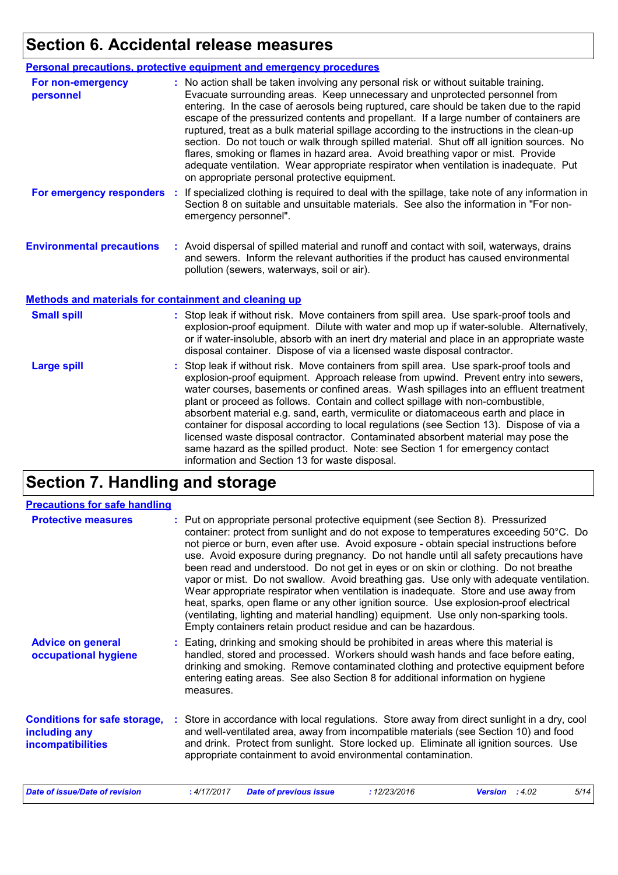### **Section 6. Accidental release measures**

|                                                              | <b>Personal precautions, protective equipment and emergency procedures</b>                                                                                                                                                                                                                                                                                                                                                                                                                                                                                                                                                                                                                                                                                                       |
|--------------------------------------------------------------|----------------------------------------------------------------------------------------------------------------------------------------------------------------------------------------------------------------------------------------------------------------------------------------------------------------------------------------------------------------------------------------------------------------------------------------------------------------------------------------------------------------------------------------------------------------------------------------------------------------------------------------------------------------------------------------------------------------------------------------------------------------------------------|
| For non-emergency<br>personnel                               | : No action shall be taken involving any personal risk or without suitable training.<br>Evacuate surrounding areas. Keep unnecessary and unprotected personnel from<br>entering. In the case of aerosols being ruptured, care should be taken due to the rapid<br>escape of the pressurized contents and propellant. If a large number of containers are<br>ruptured, treat as a bulk material spillage according to the instructions in the clean-up<br>section. Do not touch or walk through spilled material. Shut off all ignition sources. No<br>flares, smoking or flames in hazard area. Avoid breathing vapor or mist. Provide<br>adequate ventilation. Wear appropriate respirator when ventilation is inadequate. Put<br>on appropriate personal protective equipment. |
| For emergency responders                                     | If specialized clothing is required to deal with the spillage, take note of any information in<br>Section 8 on suitable and unsuitable materials. See also the information in "For non-<br>emergency personnel".                                                                                                                                                                                                                                                                                                                                                                                                                                                                                                                                                                 |
| <b>Environmental precautions</b>                             | : Avoid dispersal of spilled material and runoff and contact with soil, waterways, drains<br>and sewers. Inform the relevant authorities if the product has caused environmental<br>pollution (sewers, waterways, soil or air).                                                                                                                                                                                                                                                                                                                                                                                                                                                                                                                                                  |
| <b>Methods and materials for containment and cleaning up</b> |                                                                                                                                                                                                                                                                                                                                                                                                                                                                                                                                                                                                                                                                                                                                                                                  |

| <b>Small spill</b> | : Stop leak if without risk. Move containers from spill area. Use spark-proof tools and<br>explosion-proof equipment. Dilute with water and mop up if water-soluble. Alternatively,<br>or if water-insoluble, absorb with an inert dry material and place in an appropriate waste<br>disposal container. Dispose of via a licensed waste disposal contractor.                                                                                                                                                                                 |
|--------------------|-----------------------------------------------------------------------------------------------------------------------------------------------------------------------------------------------------------------------------------------------------------------------------------------------------------------------------------------------------------------------------------------------------------------------------------------------------------------------------------------------------------------------------------------------|
| <b>Large spill</b> | : Stop leak if without risk. Move containers from spill area. Use spark-proof tools and<br>explosion-proof equipment. Approach release from upwind. Prevent entry into sewers,<br>water courses, basements or confined areas. Wash spillages into an effluent treatment<br>plant or proceed as follows. Contain and collect spillage with non-combustible,<br>absorbent material e.g. sand, earth, vermiculite or diatomaceous earth and place in<br>container for disposal according to local regulations (see Section 13). Dispose of via a |

information and Section 13 for waste disposal.

licensed waste disposal contractor. Contaminated absorbent material may pose the same hazard as the spilled product. Note: see Section 1 for emergency contact

# **Section 7. Handling and storage**

| <b>Precautions for safe handling</b>                                             |                                                                                                                                                                                                                                                                                                                                                                                                                                                                                                                                                                                                                                                                                                                                                                                                                                                                                          |
|----------------------------------------------------------------------------------|------------------------------------------------------------------------------------------------------------------------------------------------------------------------------------------------------------------------------------------------------------------------------------------------------------------------------------------------------------------------------------------------------------------------------------------------------------------------------------------------------------------------------------------------------------------------------------------------------------------------------------------------------------------------------------------------------------------------------------------------------------------------------------------------------------------------------------------------------------------------------------------|
| <b>Protective measures</b>                                                       | : Put on appropriate personal protective equipment (see Section 8). Pressurized<br>container: protect from sunlight and do not expose to temperatures exceeding 50°C. Do<br>not pierce or burn, even after use. Avoid exposure - obtain special instructions before<br>use. Avoid exposure during pregnancy. Do not handle until all safety precautions have<br>been read and understood. Do not get in eyes or on skin or clothing. Do not breathe<br>vapor or mist. Do not swallow. Avoid breathing gas. Use only with adequate ventilation.<br>Wear appropriate respirator when ventilation is inadequate. Store and use away from<br>heat, sparks, open flame or any other ignition source. Use explosion-proof electrical<br>(ventilating, lighting and material handling) equipment. Use only non-sparking tools.<br>Empty containers retain product residue and can be hazardous. |
| <b>Advice on general</b><br>occupational hygiene                                 | : Eating, drinking and smoking should be prohibited in areas where this material is<br>handled, stored and processed. Workers should wash hands and face before eating,<br>drinking and smoking. Remove contaminated clothing and protective equipment before<br>entering eating areas. See also Section 8 for additional information on hygiene<br>measures.                                                                                                                                                                                                                                                                                                                                                                                                                                                                                                                            |
| <b>Conditions for safe storage,</b><br>including any<br><b>incompatibilities</b> | : Store in accordance with local regulations. Store away from direct sunlight in a dry, cool<br>and well-ventilated area, away from incompatible materials (see Section 10) and food<br>and drink. Protect from sunlight. Store locked up. Eliminate all ignition sources. Use<br>appropriate containment to avoid environmental contamination.                                                                                                                                                                                                                                                                                                                                                                                                                                                                                                                                          |
| <b>Date of issue/Date of revision</b>                                            | : 4/17/2017<br><b>Date of previous issue</b><br>: 12/23/2016<br>Version : 4.02<br>5/14                                                                                                                                                                                                                                                                                                                                                                                                                                                                                                                                                                                                                                                                                                                                                                                                   |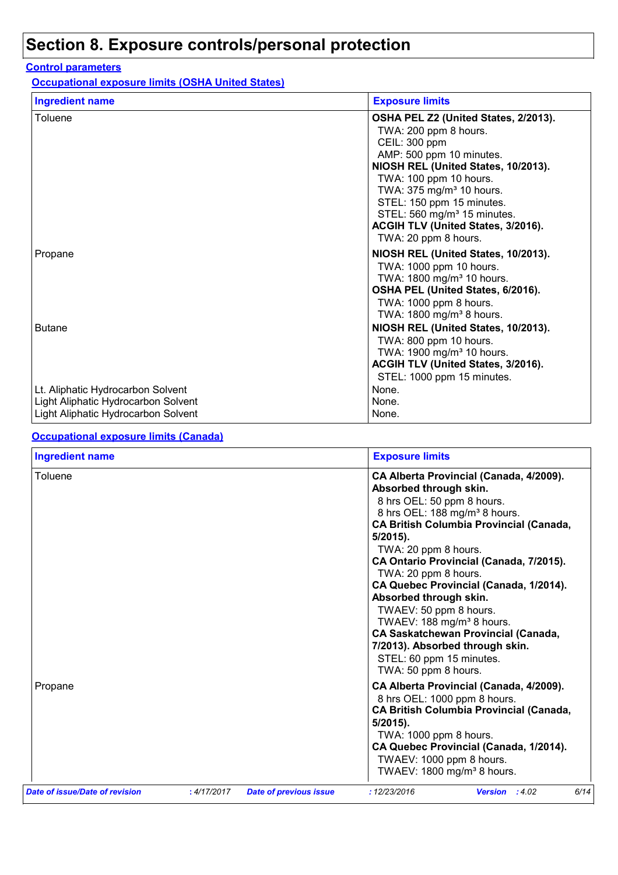# **Section 8. Exposure controls/personal protection**

#### **Control parameters**

**Occupational exposure limits (OSHA United States)**

| <b>Ingredient name</b>                                                     | <b>Exposure limits</b>                                                                                                                                                                                                                                                                                                                                    |
|----------------------------------------------------------------------------|-----------------------------------------------------------------------------------------------------------------------------------------------------------------------------------------------------------------------------------------------------------------------------------------------------------------------------------------------------------|
| Toluene                                                                    | OSHA PEL Z2 (United States, 2/2013).<br>TWA: 200 ppm 8 hours.<br>CEIL: 300 ppm<br>AMP: 500 ppm 10 minutes.<br>NIOSH REL (United States, 10/2013).<br>TWA: 100 ppm 10 hours.<br>TWA: 375 mg/m <sup>3</sup> 10 hours.<br>STEL: 150 ppm 15 minutes.<br>STEL: 560 mg/m <sup>3</sup> 15 minutes.<br>ACGIH TLV (United States, 3/2016).<br>TWA: 20 ppm 8 hours. |
| Propane                                                                    | NIOSH REL (United States, 10/2013).<br>TWA: 1000 ppm 10 hours.<br>TWA: 1800 mg/m <sup>3</sup> 10 hours.<br>OSHA PEL (United States, 6/2016).<br>TWA: 1000 ppm 8 hours.<br>TWA: 1800 mg/m <sup>3</sup> 8 hours.                                                                                                                                            |
| <b>Butane</b><br>Lt. Aliphatic Hydrocarbon Solvent                         | NIOSH REL (United States, 10/2013).<br>TWA: 800 ppm 10 hours.<br>TWA: 1900 mg/m <sup>3</sup> 10 hours.<br>ACGIH TLV (United States, 3/2016).<br>STEL: 1000 ppm 15 minutes.<br>None.                                                                                                                                                                       |
| Light Aliphatic Hydrocarbon Solvent<br>Light Aliphatic Hydrocarbon Solvent | None.<br>None.                                                                                                                                                                                                                                                                                                                                            |

#### **Occupational exposure limits (Canada)**

| <b>Ingredient name</b>         |             |                               | <b>Exposure limits</b>                                                                                                                                                                                                                                                                                                                                                                                                                                                                                                                                                               |  |  |
|--------------------------------|-------------|-------------------------------|--------------------------------------------------------------------------------------------------------------------------------------------------------------------------------------------------------------------------------------------------------------------------------------------------------------------------------------------------------------------------------------------------------------------------------------------------------------------------------------------------------------------------------------------------------------------------------------|--|--|
| Toluene                        |             |                               | CA Alberta Provincial (Canada, 4/2009).<br>Absorbed through skin.<br>8 hrs OEL: 50 ppm 8 hours.<br>8 hrs OEL: 188 mg/m <sup>3</sup> 8 hours.<br><b>CA British Columbia Provincial (Canada,</b><br>$5/2015$ ).<br>TWA: 20 ppm 8 hours.<br>CA Ontario Provincial (Canada, 7/2015).<br>TWA: 20 ppm 8 hours.<br>CA Quebec Provincial (Canada, 1/2014).<br>Absorbed through skin.<br>TWAEV: 50 ppm 8 hours.<br>TWAEV: 188 mg/m <sup>3</sup> 8 hours.<br><b>CA Saskatchewan Provincial (Canada,</b><br>7/2013). Absorbed through skin.<br>STEL: 60 ppm 15 minutes.<br>TWA: 50 ppm 8 hours. |  |  |
| Propane                        |             |                               | CA Alberta Provincial (Canada, 4/2009).<br>8 hrs OEL: 1000 ppm 8 hours.<br><b>CA British Columbia Provincial (Canada,</b><br>$5/2015$ ).<br>TWA: 1000 ppm 8 hours.<br>CA Quebec Provincial (Canada, 1/2014).<br>TWAEV: 1000 ppm 8 hours.<br>TWAEV: 1800 mg/m <sup>3</sup> 8 hours.                                                                                                                                                                                                                                                                                                   |  |  |
| Date of issue/Date of revision | : 4/17/2017 | <b>Date of previous issue</b> | : 12/23/2016<br>6/14<br>Version : 4.02                                                                                                                                                                                                                                                                                                                                                                                                                                                                                                                                               |  |  |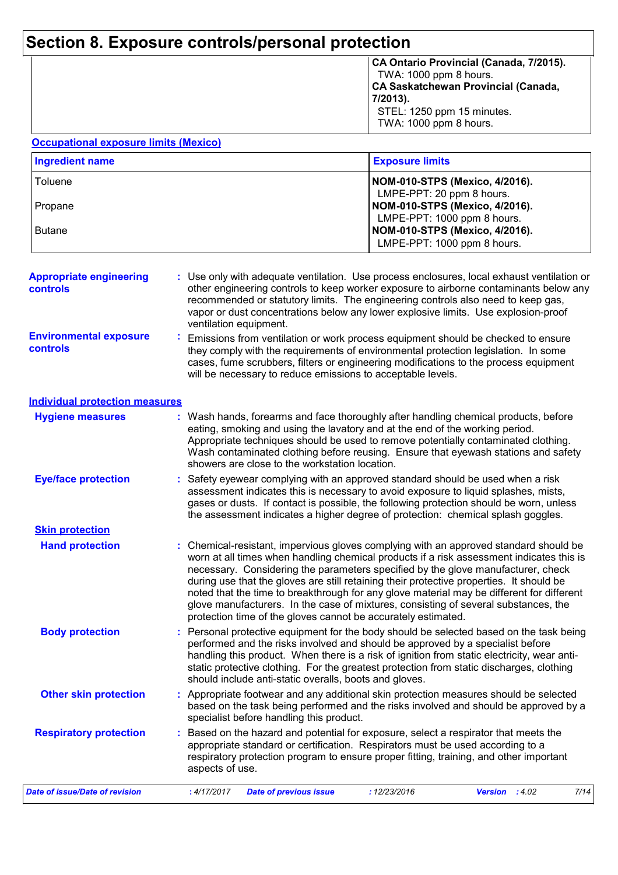### **Section 8. Exposure controls/personal protection**

| CA Ontario Provincial (Canada, 7/2015). |
|-----------------------------------------|
| TWA: 1000 ppm 8 hours.                  |
| CA Saskatchewan Provincial (Canada,     |
| 7/2013).                                |
| STEL: 1250 ppm 15 minutes.              |
| TWA: 1000 ppm 8 hours.                  |
|                                         |

#### **Occupational exposure limits (Mexico)**

| <b>Ingredient name</b> | <b>Exposure limits</b>                                                                       |
|------------------------|----------------------------------------------------------------------------------------------|
| Toluene                | NOM-010-STPS (Mexico, 4/2016).<br>LMPE-PPT: 20 ppm 8 hours.                                  |
| Propane                | NOM-010-STPS (Mexico, 4/2016).                                                               |
| l Butane               | LMPE-PPT: 1000 ppm 8 hours.<br>NOM-010-STPS (Mexico, 4/2016).<br>LMPE-PPT: 1000 ppm 8 hours. |

| <b>Appropriate engineering</b><br><b>controls</b>                         | : Use only with adequate ventilation. Use process enclosures, local exhaust ventilation or<br>other engineering controls to keep worker exposure to airborne contaminants below any<br>recommended or statutory limits. The engineering controls also need to keep gas,<br>vapor or dust concentrations below any lower explosive limits. Use explosion-proof<br>ventilation equipment. |
|---------------------------------------------------------------------------|-----------------------------------------------------------------------------------------------------------------------------------------------------------------------------------------------------------------------------------------------------------------------------------------------------------------------------------------------------------------------------------------|
| <b>Environmental exposure</b><br>the contract of the contract of the con- | Emissions from ventilation or work process equipment should be checked to ensure                                                                                                                                                                                                                                                                                                        |

they comply with the requirements of environmental protection legislation. In some cases, fume scrubbers, filters or engineering modifications to the process equipment will be necessary to reduce emissions to acceptable levels. **controls**

|  |  | <b>Individual protection measures</b> |
|--|--|---------------------------------------|
|--|--|---------------------------------------|

**Skin protection**

| <b>Hygiene measures</b>    | : Wash hands, forearms and face thoroughly after handling chemical products, before<br>eating, smoking and using the lavatory and at the end of the working period.<br>Appropriate techniques should be used to remove potentially contaminated clothing.<br>Wash contaminated clothing before reusing. Ensure that eyewash stations and safety<br>showers are close to the workstation location. |
|----------------------------|---------------------------------------------------------------------------------------------------------------------------------------------------------------------------------------------------------------------------------------------------------------------------------------------------------------------------------------------------------------------------------------------------|
| <b>Eye/face protection</b> | : Safety eyewear complying with an approved standard should be used when a risk                                                                                                                                                                                                                                                                                                                   |

| ace protection | . Salety eyewedi compiying with an approved standard should be used when a risk         |
|----------------|-----------------------------------------------------------------------------------------|
|                | assessment indicates this is necessary to avoid exposure to liquid splashes, mists,     |
|                | gases or dusts. If contact is possible, the following protection should be worn, unless |
|                | the assessment indicates a higher degree of protection: chemical splash goggles.        |
|                |                                                                                         |

- **Hand protection** Chemical-resistant, impervious gloves complying with an approved standard should be **:** worn at all times when handling chemical products if a risk assessment indicates this is necessary. Considering the parameters specified by the glove manufacturer, check during use that the gloves are still retaining their protective properties. It should be noted that the time to breakthrough for any glove material may be different for different glove manufacturers. In the case of mixtures, consisting of several substances, the protection time of the gloves cannot be accurately estimated.
	- **Body protection** : Personal protective equipment for the body should be selected based on the task being in the task being performed and the risks involved and should be approved by a specialist before handling this product. When there is a risk of ignition from static electricity, wear antistatic protective clothing. For the greatest protection from static discharges, clothing should include anti-static overalls, boots and gloves.
- **Other skin protection :** Appropriate footwear and any additional skin protection measures should be selected based on the task being performed and the risks involved and should be approved by a specialist before handling this product.
- Based on the hazard and potential for exposure, select a respirator that meets the appropriate standard or certification. Respirators must be used according to a respiratory protection program to ensure proper fitting, training, and other important aspects of use. **Respiratory protection :**

| Date of issue/Date of revision | 4/17/2017 | <sup>7</sup> Date of previous issue | ·12/23/2016 | <b>Version</b> : 4.02 | 7/14 |
|--------------------------------|-----------|-------------------------------------|-------------|-----------------------|------|
|                                |           |                                     |             |                       |      |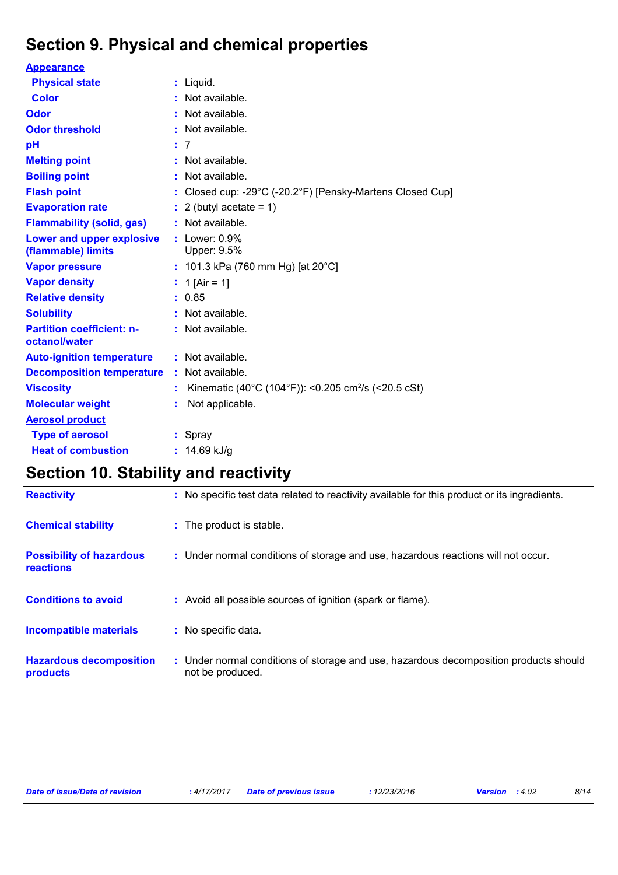# **Section 9. Physical and chemical properties**

| <b>Appearance</b>                                      |    |                                                                 |
|--------------------------------------------------------|----|-----------------------------------------------------------------|
| <b>Physical state</b>                                  |    | $:$ Liquid.                                                     |
| <b>Color</b>                                           |    | Not available.                                                  |
| Odor                                                   |    | Not available.                                                  |
| <b>Odor threshold</b>                                  |    | Not available.                                                  |
| pH                                                     |    | : 7                                                             |
| <b>Melting point</b>                                   |    | Not available.                                                  |
| <b>Boiling point</b>                                   |    | Not available.                                                  |
| <b>Flash point</b>                                     |    | Closed cup: -29°C (-20.2°F) [Pensky-Martens Closed Cup]         |
| <b>Evaporation rate</b>                                |    | 2 (butyl acetate = $1$ )                                        |
| <b>Flammability (solid, gas)</b>                       |    | Not available.                                                  |
| <b>Lower and upper explosive</b><br>(flammable) limits |    | : $Lower: 0.9%$<br>Upper: 9.5%                                  |
| <b>Vapor pressure</b>                                  |    | : 101.3 kPa (760 mm Hg) [at 20 $^{\circ}$ C]                    |
| <b>Vapor density</b>                                   |    | : 1 [Air = 1]                                                   |
| <b>Relative density</b>                                |    | : 0.85                                                          |
| <b>Solubility</b>                                      |    | : Not available.                                                |
| <b>Partition coefficient: n-</b><br>octanol/water      |    | $:$ Not available.                                              |
| <b>Auto-ignition temperature</b>                       |    | $:$ Not available.                                              |
| <b>Decomposition temperature</b>                       | ÷. | Not available.                                                  |
| <b>Viscosity</b>                                       |    | Kinematic (40°C (104°F)): <0.205 cm <sup>2</sup> /s (<20.5 cSt) |
| <b>Molecular weight</b>                                |    | Not applicable.                                                 |
| <b>Aerosol product</b>                                 |    |                                                                 |
| <b>Type of aerosol</b>                                 |    | $:$ Spray                                                       |
| <b>Heat of combustion</b>                              |    | : $14.69$ kJ/g                                                  |

# **Section 10. Stability and reactivity**

| <b>Reactivity</b>                            | : No specific test data related to reactivity available for this product or its ingredients.              |
|----------------------------------------------|-----------------------------------------------------------------------------------------------------------|
| <b>Chemical stability</b>                    | : The product is stable.                                                                                  |
| <b>Possibility of hazardous</b><br>reactions | : Under normal conditions of storage and use, hazardous reactions will not occur.                         |
| <b>Conditions to avoid</b>                   | : Avoid all possible sources of ignition (spark or flame).                                                |
| <b>Incompatible materials</b>                | : No specific data.                                                                                       |
| <b>Hazardous decomposition</b><br>products   | : Under normal conditions of storage and use, hazardous decomposition products should<br>not be produced. |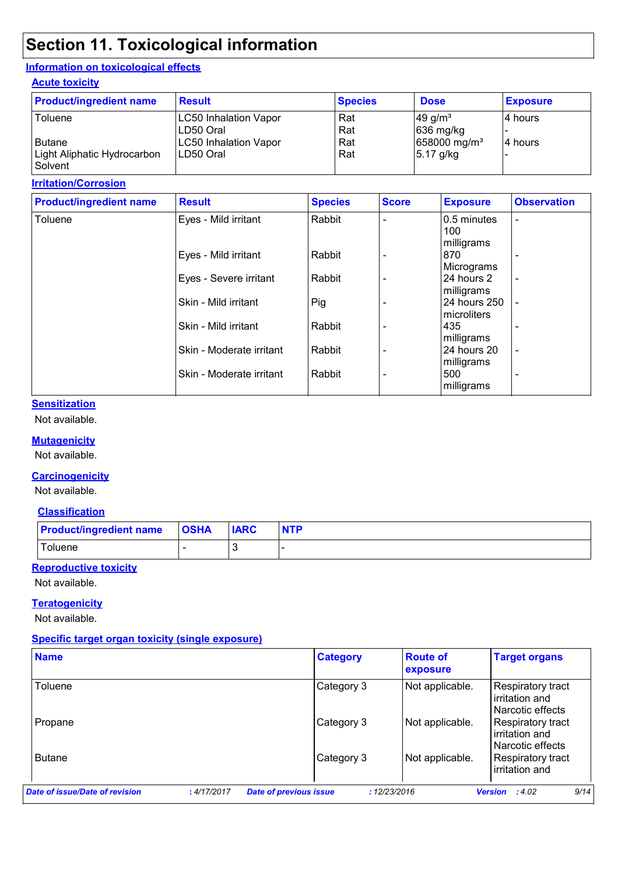# **Section 11. Toxicological information**

#### **Information on toxicological effects**

#### **Acute toxicity**

| <b>Product/ingredient name</b>               | <b>Result</b>                              | <b>Species</b> | <b>Dose</b>                                    | <b>Exposure</b> |
|----------------------------------------------|--------------------------------------------|----------------|------------------------------------------------|-----------------|
| Toluene                                      | <b>LC50 Inhalation Vapor</b><br>LD50 Oral  | Rat<br>Rat     | $49$ g/m <sup>3</sup><br>$ 636 \text{ mg/kg} $ | I4 hours        |
| <b>Butane</b><br>Light Aliphatic Hydrocarbon | <b>LC50 Inhalation Vapor</b><br>ILD50 Oral | Rat<br>Rat     | 658000 mg/m <sup>3</sup><br>$5.17$ g/kg        | 4 hours         |
| Solvent                                      |                                            |                |                                                |                 |

#### **Irritation/Corrosion**

| <b>Product/ingredient name</b> | <b>Result</b>            | <b>Species</b> | <b>Score</b> | <b>Exposure</b>                  | <b>Observation</b>       |
|--------------------------------|--------------------------|----------------|--------------|----------------------------------|--------------------------|
| Toluene                        | Eyes - Mild irritant     | Rabbit         |              | 0.5 minutes<br>100<br>milligrams | $\overline{\phantom{0}}$ |
|                                | Eyes - Mild irritant     | Rabbit         |              | 870<br>Micrograms                |                          |
|                                | Eyes - Severe irritant   | Rabbit         |              | 24 hours 2<br>milligrams         | $\overline{\phantom{a}}$ |
|                                | Skin - Mild irritant     | Pig            |              | 24 hours 250<br>microliters      |                          |
|                                | Skin - Mild irritant     | Rabbit         |              | 435<br>milligrams                |                          |
|                                | Skin - Moderate irritant | Rabbit         |              | 24 hours 20<br>milligrams        | $\overline{\phantom{a}}$ |
|                                | Skin - Moderate irritant | Rabbit         | ۰            | 500<br>milligrams                | ۰                        |

#### **Sensitization**

Not available.

#### **Mutagenicity**

Not available.

#### **Carcinogenicity**

Not available.

#### **Classification**

| <b>Product/ingredient name</b> | <b>OSHA</b> | <b>IARC</b> | <b>NTP</b> |
|--------------------------------|-------------|-------------|------------|
| Toluene                        |             |             |            |

#### **Reproductive toxicity**

Not available.

#### **Teratogenicity**

Not available.

#### **Specific target organ toxicity (single exposure)**

| <b>Name</b>                    |                                              | <b>Category</b> | <b>Route of</b><br>exposure | <b>Target organs</b>                                    |
|--------------------------------|----------------------------------------------|-----------------|-----------------------------|---------------------------------------------------------|
| Toluene                        |                                              | Category 3      | Not applicable.             | Respiratory tract<br>irritation and<br>Narcotic effects |
| Propane                        |                                              | Category 3      | Not applicable.             | Respiratory tract<br>irritation and<br>Narcotic effects |
| <b>Butane</b>                  |                                              | Category 3      | Not applicable.             | Respiratory tract<br>irritation and                     |
| Date of issue/Date of revision | <b>Date of previous issue</b><br>: 4/17/2017 |                 | : 12/23/2016                | 9/14<br><b>Version</b> : $4.02$                         |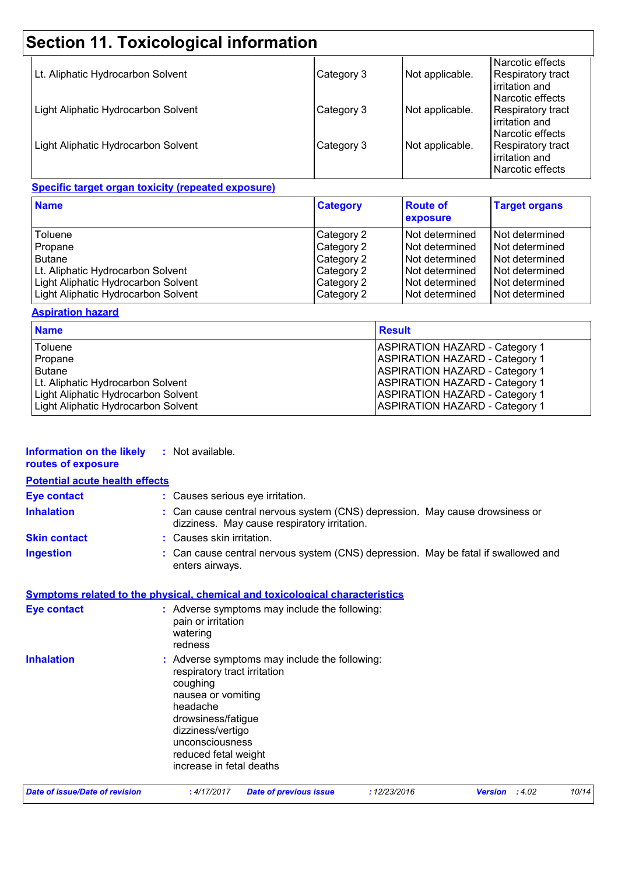# **Section 11. Toxicological information**

| Lt. Aliphatic Hydrocarbon Solvent   | Category 3 | Not applicable. | Narcotic effects<br>Respiratory tract<br>irritation and                            |
|-------------------------------------|------------|-----------------|------------------------------------------------------------------------------------|
| Light Aliphatic Hydrocarbon Solvent | Category 3 | Not applicable. | Narcotic effects<br><b>Respiratory tract</b><br>irritation and                     |
| Light Aliphatic Hydrocarbon Solvent | Category 3 | Not applicable. | Narcotic effects<br><b>Respiratory tract</b><br>irritation and<br>Narcotic effects |

#### **Specific target organ toxicity (repeated exposure)**

| <b>Name</b>                         | <b>Category</b> | <b>Route of</b><br>exposure | <b>Target organs</b> |
|-------------------------------------|-----------------|-----------------------------|----------------------|
| Toluene                             | Category 2      | Not determined              | Not determined       |
| Propane                             | Category 2      | INot determined             | Not determined       |
| Butane                              | Category 2      | INot determined             | Not determined       |
| Lt. Aliphatic Hydrocarbon Solvent   | Category 2      | INot determined             | Not determined       |
| Light Aliphatic Hydrocarbon Solvent | Category 2      | INot determined             | Not determined       |
| Light Aliphatic Hydrocarbon Solvent | Category 2      | INot determined             | Not determined       |

#### **Aspiration hazard**

| <b>Name</b>                         | <b>Result</b>                         |
|-------------------------------------|---------------------------------------|
| Toluene                             | <b>ASPIRATION HAZARD - Category 1</b> |
| Propane                             | <b>ASPIRATION HAZARD - Category 1</b> |
| <b>Butane</b>                       | <b>ASPIRATION HAZARD - Category 1</b> |
| Lt. Aliphatic Hydrocarbon Solvent   | <b>ASPIRATION HAZARD - Category 1</b> |
| Light Aliphatic Hydrocarbon Solvent | <b>ASPIRATION HAZARD - Category 1</b> |
| Light Aliphatic Hydrocarbon Solvent | <b>ASPIRATION HAZARD - Category 1</b> |

# **Information on the likely**

**:** Not available.

|  | routes of exposure |  |
|--|--------------------|--|
|  |                    |  |

| <b>Potential acute health effects</b> |                                                                                                                                                   |
|---------------------------------------|---------------------------------------------------------------------------------------------------------------------------------------------------|
| <b>Eye contact</b>                    | : Causes serious eye irritation.                                                                                                                  |
| Inhalation                            | : Can cause central nervous system (CNS) depression. May cause drowsiness or<br>dizziness. May cause respiratory irritation.                      |
| Skin contact                          | : Causes skin irritation.                                                                                                                         |
| Ingestion                             | : Can cause central nervous system (CNS) depression. May be fatal if swallowed and<br>enters airways.                                             |
|                                       | <u>Symptoms related to the physical, chemical and toxicological characteristics</u>                                                               |
| <b>Eye contact</b>                    | : Adverse symptoms may include the following:<br>pain or irritation<br>watering<br>redness                                                        |
| <b>Inhalation</b>                     | : Adverse symptoms may include the following:<br>respiratory tract irritation<br>coughing<br>nausea or vomiting<br>headache<br>drowsiness/fatique |

dizziness/vertigo unconsciousness reduced fetal weight increase in fetal deaths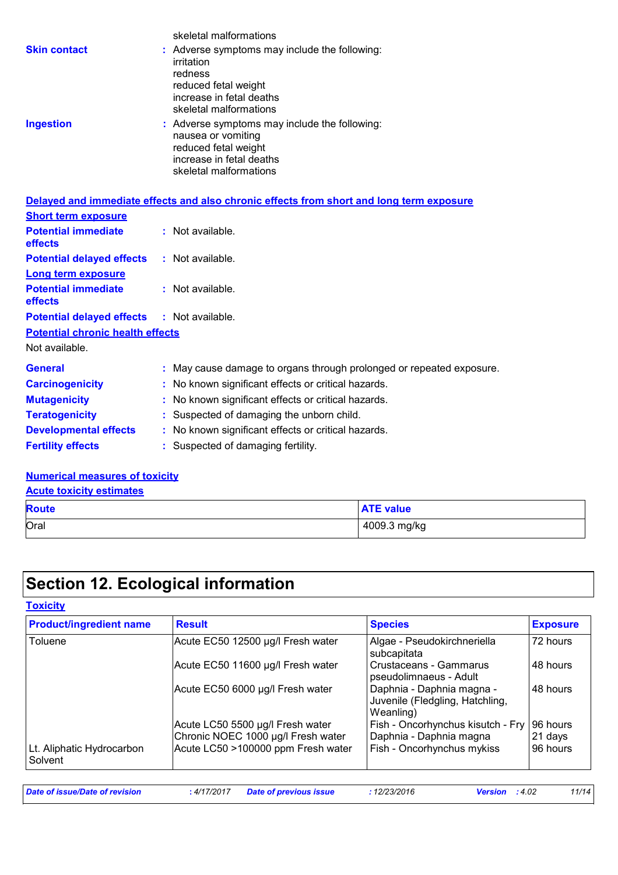|                                                   | skeletal malformations                                                                                                                               |
|---------------------------------------------------|------------------------------------------------------------------------------------------------------------------------------------------------------|
| <b>Skin contact</b>                               | : Adverse symptoms may include the following:<br>irritation<br>redness<br>reduced fetal weight<br>increase in fetal deaths<br>skeletal malformations |
| <b>Ingestion</b>                                  | : Adverse symptoms may include the following:<br>nausea or vomiting<br>reduced fetal weight<br>increase in fetal deaths<br>skeletal malformations    |
|                                                   | Delayed and immediate effects and also chronic effects from short and long term exposure                                                             |
| <b>Short term exposure</b>                        |                                                                                                                                                      |
| <b>Potential immediate</b><br>effects             | : Not available.                                                                                                                                     |
| <b>Potential delayed effects</b>                  | : Not available.                                                                                                                                     |
| Long term exposure                                |                                                                                                                                                      |
| <b>Potential immediate</b><br>effects             | $:$ Not available.                                                                                                                                   |
| <b>Potential delayed effects : Not available.</b> |                                                                                                                                                      |
| <b>Potential chronic health effects</b>           |                                                                                                                                                      |
| Not available.                                    |                                                                                                                                                      |
| <b>General</b>                                    | : May cause damage to organs through prolonged or repeated exposure.                                                                                 |
| <b>Carcinogenicity</b>                            | : No known significant effects or critical hazards.                                                                                                  |
| <b>Mutagenicity</b>                               | : No known significant effects or critical hazards.                                                                                                  |
| <b>Teratogenicity</b>                             | : Suspected of damaging the unborn child.                                                                                                            |

- **Developmental effects** : No known significant effects or critical hazards.
- **Fertility effects :** Suspected of damaging fertility.

#### **Numerical measures of toxicity**

**Acute toxicity estimates**

| <b>Route</b> | ATF<br><b>ATE value</b> |
|--------------|-------------------------|
| Oral         | 4009.3 mg/kg            |

# **Section 12. Ecological information**

| <b>Product/ingredient name</b>       | <b>Result</b>                                                          | <b>Species</b>                                                            | <b>Exposure</b>     |
|--------------------------------------|------------------------------------------------------------------------|---------------------------------------------------------------------------|---------------------|
| Toluene                              | Acute EC50 12500 µg/l Fresh water                                      | Algae - Pseudokirchneriella<br>subcapitata                                | 72 hours            |
|                                      | Acute EC50 11600 µg/l Fresh water                                      | <b>Crustaceans - Gammarus</b><br>pseudolimnaeus - Adult                   | 48 hours            |
|                                      | Acute EC50 6000 µg/l Fresh water                                       | Daphnia - Daphnia magna -<br>Juvenile (Fledgling, Hatchling,<br>Weanling) | 48 hours            |
|                                      | Acute LC50 5500 µg/l Fresh water<br>Chronic NOEC 1000 µg/l Fresh water | Fish - Oncorhynchus kisutch - Fry<br>Daphnia - Daphnia magna              | 96 hours<br>21 days |
| Lt. Aliphatic Hydrocarbon<br>Solvent | Acute LC50 >100000 ppm Fresh water                                     | Fish - Oncorhynchus mykiss                                                | 96 hours            |

| Date of issue/Date of revision | : 4/17/2017 | Date of previous issue | 12/23/2016 | : 4.02<br><b>Version</b> | 11/14 |
|--------------------------------|-------------|------------------------|------------|--------------------------|-------|
|                                |             |                        |            |                          |       |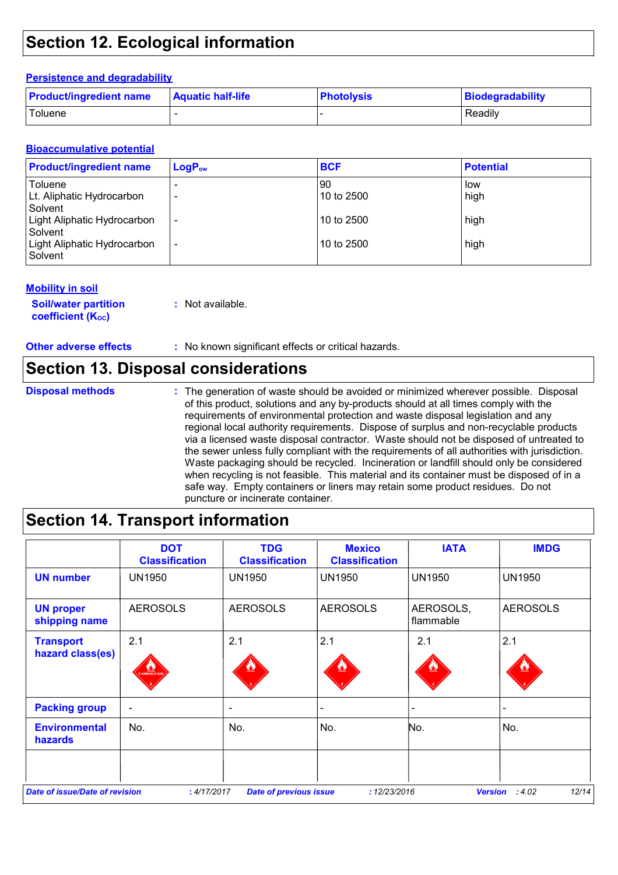## **Section 12. Ecological information**

#### **Persistence and degradability**

| <b>Product/ingredient name</b> | <b>Aquatic half-life</b> | <b>Photolysis</b> | Biodegradability |
|--------------------------------|--------------------------|-------------------|------------------|
| Toluene                        |                          |                   | Readily          |

#### **Bioaccumulative potential**

| <b>Product/ingredient name</b>         | $LogP_{ow}$              | <b>BCF</b> | <b>Potential</b> |
|----------------------------------------|--------------------------|------------|------------------|
| Toluene                                |                          | 90         | low              |
| Lt. Aliphatic Hydrocarbon<br>Solvent   | -                        | 10 to 2500 | high             |
| Light Aliphatic Hydrocarbon<br>Solvent | $\overline{\phantom{a}}$ | 10 to 2500 | high             |
| Light Aliphatic Hydrocarbon<br>Solvent | $\overline{\phantom{a}}$ | 10 to 2500 | high             |

#### **Mobility in soil**

**Soil/water partition coefficient (KOC) :** Not available.

**Other adverse effects** : No known significant effects or critical hazards.

### **Section 13. Disposal considerations**

**Disposal methods :**

The generation of waste should be avoided or minimized wherever possible. Disposal of this product, solutions and any by-products should at all times comply with the requirements of environmental protection and waste disposal legislation and any regional local authority requirements. Dispose of surplus and non-recyclable products via a licensed waste disposal contractor. Waste should not be disposed of untreated to the sewer unless fully compliant with the requirements of all authorities with jurisdiction. Waste packaging should be recycled. Incineration or landfill should only be considered when recycling is not feasible. This material and its container must be disposed of in a safe way. Empty containers or liners may retain some product residues. Do not puncture or incinerate container.

### **Section 14. Transport information**

|                                        | <b>DOT</b><br><b>Classification</b> | <b>TDG</b><br><b>Classification</b> | <b>Mexico</b><br><b>Classification</b> | <b>IATA</b>            | <b>IMDG</b>             |
|----------------------------------------|-------------------------------------|-------------------------------------|----------------------------------------|------------------------|-------------------------|
| <b>UN number</b>                       | <b>UN1950</b>                       | <b>UN1950</b>                       | <b>UN1950</b>                          | <b>UN1950</b>          | <b>UN1950</b>           |
| <b>UN proper</b><br>shipping name      | <b>AEROSOLS</b>                     | <b>AEROSOLS</b>                     | <b>AEROSOLS</b>                        | AEROSOLS,<br>flammable | <b>AEROSOLS</b>         |
| <b>Transport</b><br>hazard class(es)   | 2.1<br>FLAMMABLE GAL                | 2.1                                 | 2.1                                    | 2.1                    | 2.1                     |
| <b>Packing group</b>                   |                                     |                                     |                                        |                        |                         |
| <b>Environmental</b><br><b>hazards</b> | No.                                 | No.                                 | No.                                    | No.                    | No.                     |
| <b>Date of issue/Date of revision</b>  |                                     |                                     |                                        |                        | 12/14<br><b>Version</b> |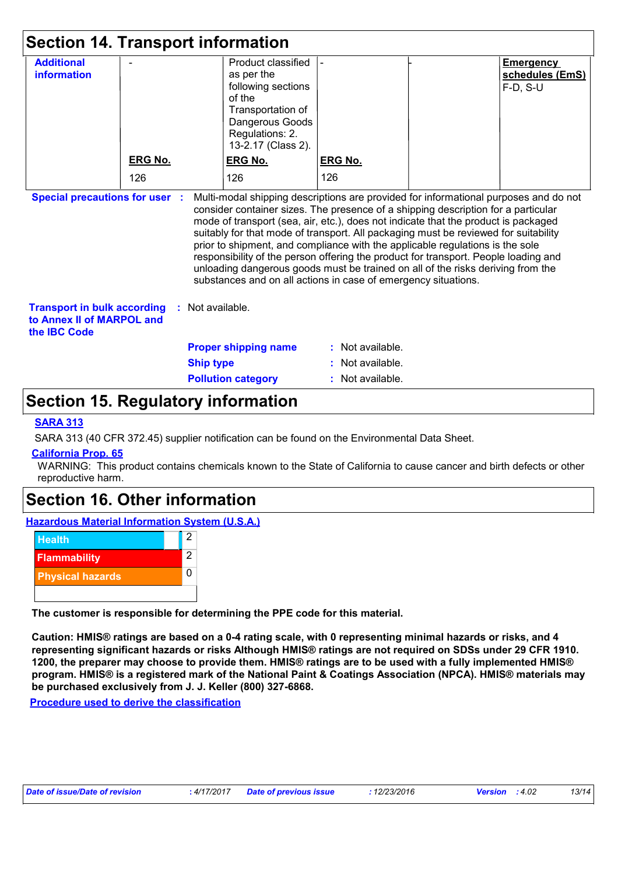| <b>Section 14. Transport information</b>                                               |                |                  |                                                                                                                                                                                                                                                                                                                                                                                                                                                                                                                                                                                             |                  |  |                                                   |
|----------------------------------------------------------------------------------------|----------------|------------------|---------------------------------------------------------------------------------------------------------------------------------------------------------------------------------------------------------------------------------------------------------------------------------------------------------------------------------------------------------------------------------------------------------------------------------------------------------------------------------------------------------------------------------------------------------------------------------------------|------------------|--|---------------------------------------------------|
| <b>Additional</b><br>information                                                       |                |                  | Product classified<br>as per the<br>following sections<br>of the<br>Transportation of<br>Dangerous Goods<br>Regulations: 2.<br>13-2.17 (Class 2).                                                                                                                                                                                                                                                                                                                                                                                                                                           |                  |  | <b>Emergency</b><br>schedules (EmS)<br>$F-D, S-U$ |
|                                                                                        | <b>ERG No.</b> |                  | <b>ERG No.</b>                                                                                                                                                                                                                                                                                                                                                                                                                                                                                                                                                                              | <b>ERG No.</b>   |  |                                                   |
|                                                                                        | 126            |                  | 126                                                                                                                                                                                                                                                                                                                                                                                                                                                                                                                                                                                         | 126              |  |                                                   |
|                                                                                        |                |                  | consider container sizes. The presence of a shipping description for a particular<br>mode of transport (sea, air, etc.), does not indicate that the product is packaged<br>suitably for that mode of transport. All packaging must be reviewed for suitability<br>prior to shipment, and compliance with the applicable regulations is the sole<br>responsibility of the person offering the product for transport. People loading and<br>unloading dangerous goods must be trained on all of the risks deriving from the<br>substances and on all actions in case of emergency situations. |                  |  |                                                   |
| <b>Transport in bulk according</b><br>to Annex II of MARPOL and<br>the <b>IBC</b> Code | <b>C</b>       | Not available.   |                                                                                                                                                                                                                                                                                                                                                                                                                                                                                                                                                                                             |                  |  |                                                   |
|                                                                                        |                |                  | <b>Proper shipping name</b>                                                                                                                                                                                                                                                                                                                                                                                                                                                                                                                                                                 | : Not available. |  |                                                   |
|                                                                                        |                | <b>Ship type</b> |                                                                                                                                                                                                                                                                                                                                                                                                                                                                                                                                                                                             | : Not available. |  |                                                   |
|                                                                                        |                |                  | <b>Pollution category</b>                                                                                                                                                                                                                                                                                                                                                                                                                                                                                                                                                                   | : Not available. |  |                                                   |

### **Section 15. Regulatory information**

#### **SARA 313**

SARA 313 (40 CFR 372.45) supplier notification can be found on the Environmental Data Sheet.

#### **California Prop. 65**

WARNING: This product contains chemicals known to the State of California to cause cancer and birth defects or other reproductive harm.

### **Section 16. Other information**

**Hazardous Material Information System (U.S.A.)**



**The customer is responsible for determining the PPE code for this material.**

**Caution: HMIS® ratings are based on a 0-4 rating scale, with 0 representing minimal hazards or risks, and 4 representing significant hazards or risks Although HMIS® ratings are not required on SDSs under 29 CFR 1910. 1200, the preparer may choose to provide them. HMIS® ratings are to be used with a fully implemented HMIS® program. HMIS® is a registered mark of the National Paint & Coatings Association (NPCA). HMIS® materials may be purchased exclusively from J. J. Keller (800) 327-6868.**

**Procedure used to derive the classification**